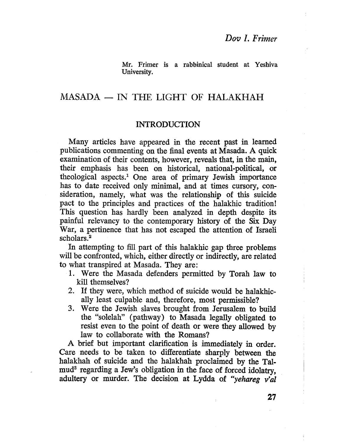Mr. Frimer is a rabbinical student at Yeshiva University.

## $MASADA$  - IN THE LIGHT OF HALAKHAH

#### INTRODUCTION

Many articles have appeared in the recent past in learned publications commenting on the final events at Masada. A quick examination of their contents, however, reveals that, in the main, their emphasis has been on historical, national-political, or theological aspects.1 One area of primary Jewish importance has to date received only minimal, and at times cursory, consideration, namely, what was the relationship of this suicide pact to the principlcs and practices of the halakhic tradition! This question has hardly been analyzed in depth despite its painful relevancy to the contemporary history of the Six Day War, a pertinence that has not escaped the attention of Israeli scholars.2

In attempting to fill part of this halakhic gap three problems will be confronted, which, either directly or indirectly, are related to what transpired at Masada. They are:

- 1. Were the Masada defenders permtted by Torah law to kill themselves?
- 2. If they were, which method of suicide would be halakhcally least culpable and, therefore, most permissible?
- 3. Were the Jewish slaves brought from Jerusalem to build the "solelah" (pathway) to Masada legally obligated to resist even to the point of death or were they alowed by law to collaborate with the Romans?

A brief but important clarification is immediately in order. Care needs to be taken to differentiate sharply between the halakhah of suicide and the halakhah proclaimed by the Talmud<sup>3</sup> regarding a Jew's obligation in the face of forced idolatry. adultery or murder. The decision at Lydda of "yehareg v'al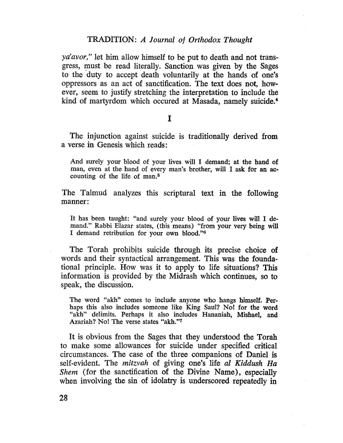ya'avor," let him allow himself to be put to death and not transgress, must be read literally. Sanction was given by the Sages to the duty to accept death voluntarily at the hands of one's oppressors as an act of sanctification. The text does not, however, seem to justify stretching the interpretation to include the kind of martyrdom which occured at Masada, namely suicide.<sup>4</sup>

#### I

The injunction against suicide is traditionally derived from a verse in Genesis which reads:

And surely your blood of your lives will I demand; at the hand of man, even at the hand of every man's brother, will I ask for an accounting of the life of man.5

The Talmud analyzes this scriptural text in the following manner:

It has been taught: "and surely your blood of your lives wil I demand." Rabbi Elazar states, (this means) "from your very being wil I demand retribution for your own blood."6

The Torah prohibits suicide through its precise choice of words and their syntactical arrangement. This was the foundational principle. How was it to apply to life situations? This information is provided by the Midrash which continues, so to speak, the discussion.

The word "akh" comes to include anyone who hangs himself. Perhaps this also includes someone like King Saul? No! for the word "akh" delimits. Perhaps it also includes Hananiah, MishaeI, and Azariah? No! The verse states "akh."7

It is obvious from the Sages that they understood the Torah to make some allowances for suicide under specified critical circumstances. The case of the three companions of Daniel is self-evident. The mitzvah of giving one's life al Kiddush Ha Shem (for the sanctification of the Divine Name), especially when involving the sin of idolatry is underscored repeatedly in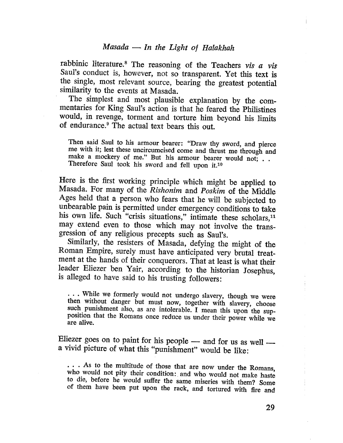rabbinic literature.<sup>8</sup> The reasoning of the Teachers vis  $a$  vis Saul's conduct is, however, not so transparent. Yet this text is the single, most relevant source, bearing the greatest potential similarity to the events at Masada.

The simplest and most plausible explanation by the commentaries for King Saul's action is that he feared the Philistines would, in revenge, torment and torture him beyond his limits of endurance.9 The actual text bears this out.

Then said Saul to his armour bearer: "Draw thy sword, and pierce me with it; lest these uncircumcised come and thrust me through and make a mockery of me." But his armour bearer would not; . . Therefore Saul took his sword and fell upon it.<sup>10</sup>

Here is the first working principle which might be applied to Masada. For many of the Rishonim and Poskim of the Middle Ages held that a person who fears that he wil be subjected to unbearable pain is permitted under emergency conditions to take his own life. Such "crisis situations," intimate these scholars, $11$ may extend even to those which may not involve the transgression of any religious precepts such as Saul's.

Similarly, the resisters of Masada, defying the might of the Roman Empire, surely must have anticipated very brutal treatment at the hands of their conquerors. That at least is what their leader Eliezer ben Yair, according to the historian Josephus, is alleged to have said to his trusting followers:

. . . While we formerly would not undergo slavery, though we were then without danger but must now, together with slavery, choose such punishment also, as are intolerable. I mean this upon the supposition that the Romans once reduce us under their power while we are alive.

Eliezer goes on to paint for his people  $-$  and for us as well  $$ a vivid picture of what this "punishment" would be like:

... As to the multitude of those that are now under the Romans, who would not pity their condition: and who would not make haste to die, before he would sufer the same miseries with them? Some of them have been put upon the rack, and tortured with fire and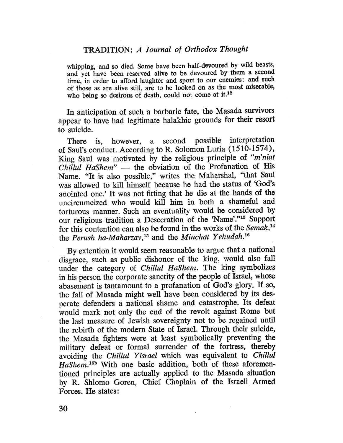whipping, and so died. Some have been half-devoured by wild beasts, and yet have been reserved alive to be devoured by them a second time, in order to afford laughter and sport to our enemies: and such of those as are alive stil, are to be looked on as the most miserable, who being so desirous of death, could not come at it.<sup>12</sup>

In anticipation of such a barbaric fate, the Masada survivors appear to have had legitimate halakhic grounds for their resort to suicide.

There is, however, a second possible interpretation of Saul's conduct. According to R. Solomon Luria (1510-1574), King Saul was motivated by the religious principle of "m'niat Chillul HaShem"  $-$  the obviation of the Profanation of His Name. "It is also possible," writes the Maharshal, "that Saul was allowed to kill himself because he had the status of 'God's anointed one.' It was not fitting that he die at the hands of the uncircumcized who would kill him in both a shameful and torturous manner. Such an eventuality would be considered by our religious tradition a Desecration of the 'Name'."13 Support for this contention can also be found in the works of the Semak,<sup>14</sup> the Perush ha-Maharzav,<sup>15</sup> and the Minchat Yehudah.<sup>16</sup>

By extention it would seem reasonable to argue that a national disgrace, such as public dishonor of the king, would also fall under the category of Chilul HaShem. The king symbolizes in his person the corporate sanctity of the people of Israel, whose abasement is tantamount to a profanation of God's glory. If so, the fall of Masada might well have been considered by its desperate defenders a national shame and catastrophe. Its defeat would mark not only the end of the revolt against Rome but the last measure of Jewish sovereignty not to be regained until the rebirth of the modern State of IsraeL. Through their suicide, the Masada fighters were at least symbolically preventing the miltary defeat or formal surrender of the fortress, thereby avoiding the Chilul Yisrael which was equivalent to Chilul HaShem.16b With one basic addition, both of these aforementioned principles are actually applied to the Masada situation by R. Shlomo Goren, Chief Chaplain of the Israeli Armed Forces. He states: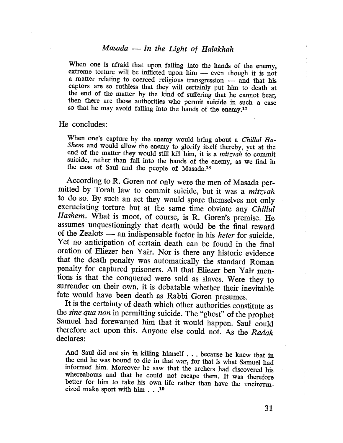## $Masada$  - In the Light of Halakhah

When one is afraid that upon falling into the hands of the enemy, extreme torture will be inflicted upon him  $-$  even though it is not a matter relating to coerced religious transgression  $-$  and that his captors are so ruthless that they will certainly put him to death at the end of the matter by the kind of suffering that he cannot bear, then there are those authorities who permit suicide in such a case so that he may avoid falling into the hands of the enemy.<sup>17</sup>

He concludes:

When one's capture by the enemy would bring about a Chillul Ha-Shem and would allow the enemy to glorify itself thereby, yet at the end of the matter they would still kill him, it is a *mitzvah* to commit suicide, rather than fall into the hands of the enemy, as we find in the case of Saul and the people of Masada.18

According to R. Goren not only were the men of Masada permitted by Torah law to commit suicide, but it was a mitzvah to do so. By such an act they would spare themselves not only excruciating torture but at the same time obviate any Chillul Hashem. What is moot, of course, is R. Goren's premise. He assumes unquestioningly that death would be the final reward of the Zealots - an indispensable factor in his *heter* for suicide. Yet no anticipation of certain death can be found in the final oration of Eliezer ben Yair. Nor is there any historic evidence that the death penalty was automatically the standard Roman penalty for captured prisoners. All that Eliezer ben Yair mentions is that the conquered were sold as slaves. Were they to surrender on their own, it is debatable whether their inevitable fate would have been death as Rabbi Goren presumes.

It is the certainty of death which other authorities constitute as the sine qua non in permitting suicide. The "ghost" of the prophet Samuel had forewarned him that it would happen. Saul could therefore act upon this. Anyone else could not. As the Radak declares:

And Saul did not sin in kiling himself . . . because he knew that in the end he was bound to die in that war, for that is what Samucl had informed him. Moreover he saw that the arehers had discovered his whereabouts and that he could not escape them. It was therefore better for him to take his own life rather than have the uncircumcized make sport with him. . .10

31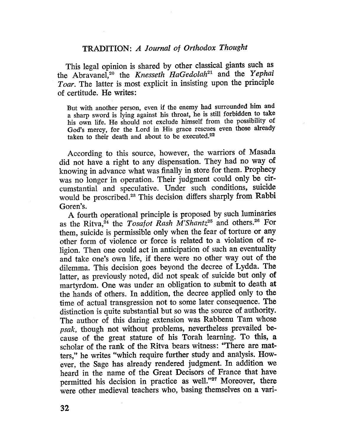This legal opinion is shared by other classical giants such as the Abravanel,<sup>20</sup> the Knesseth HaGedolah<sup>21</sup> and the Yephai Toar. The latter is most explicit in insisting upon the principle of certitude. He writes:

But with another person, even if the enemy had surrounded him and a sharp sword is lying against his throat, he is stil forbidden to take his own life. He should not exclude himself from the possibilty of God's mercy, for the Lord in His grace rescues even those already taken to their death and about to be executed.<sup>22</sup>

According to this source, however, the warriors of Masada did not have a right to any dispensation. They had no way of knowing in advance what was finally in store for them. Prophecy was no longer in operation. Their judgment could only be circumstantial and speculative. Under such conditions, suicide would be proscribed.<sup>23</sup> This decision differs sharply from Rabbi Goren's.

A fourth operational principle is proposed by such luminaries as the Ritva,<sup>24</sup> the Tosafot Rash M'Shantz<sup>25</sup> and others.<sup>26</sup> For them, suicide is permissible only when the fear of torture or any other form of violence or force is related to a violation of religion. Then one could act in anticipation of such an eventualty and take one's own life, if there were no other way out of the dilemma. This decision goes beyond the decree of Lydda. The latter, as previously noted, did not speak of suicide but only of martyrdom. One was under an obligation to submit to death at the hands of others. In addition, the decree applied only to the time of actual transgression not to some later consequence. The distinction is quite substantial but so was the source of authority. The author of this daring extension was Rabbenu Tam whose psak, though not without problems, nevertheless prevailed because of the great stature of his Torah learning. To this, a scholar of the rank of the Ritva bears witness: "There are matters," he writes "which require further study and analysis. However, the Sage has already rendered judgment. In addition we heard in the name of the Great Decisors of France that have permitted his decision in practice as well."<sup>27</sup> Moreover, there were other medieval teachers who, basing themselves on a vari-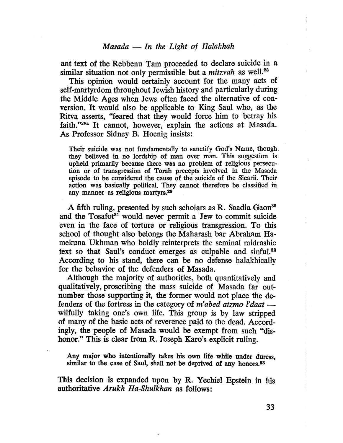ant text of the Rebbenu Tam proceeded to declare suicide in a similar situation not only permissible but a *mitzvah* as well.<sup>28</sup>

This opinion would certainly account for the many acts of self-martyrdom throughout Jewish history and particularly during the Middle Ages when Jews often faced the alternative of conversion. It would also be applicable to King Saul who, as the Ritva asserts, "feared that they would force him to betray his faith."28a It cannot, however, explain the actions at Masada. As Professor Sidney B. Hoenig insists:

Their suicide was not fundamentally to sanctify God's Name, though they believed in no lordship of man over man. This suggestion is upheld primarily because there was no problem of religious persecution or of transgression of Torah precepts involved in the Masada episode to be considered the cause of the suicide of the Sicarii. Their action was basically political. They cannot therefore be classified in any manner as religious martyrs.<sup>29</sup>

A fifth ruling, presented by such scholars as R. Saadia Gaon<sup>80</sup> and the Tosafot<sup>31</sup> would never permit a Jew to commit suicide even in the face of torture or religious transgression. To this school of thought also belongs the Maharash bar Abraham Hamekuna Ukhman who boldly reinterprets the seminal midrashic text so that Saul's conduct emerges as culpable and sinful.<sup>32</sup> According to his stand, there can be no defense halakhically for the behavior of the defenders of Masada.

Although the majority of authorities, both quantitatively and qualitatively, proscribing the mass suicide of Masada far outnumber those supporting it, the former would not place the defenders of the fortress in the category of  $m'abcd$  atzmo l'daat wilfully taking one's own life. This group is by law stripped of many of the basic acts of reverence paid to the dead. Accordingly, the people of Masada would be exempt from such "dishonor." This is clear from R. Joseph Karo's explicit ruling.

Any major who intentionaly takes his own life while under duress, similar to the case of Saul, shall not be deprived of any honors.<sup>33</sup>

This decision is expanded upon by R. Yechiel Epstein in his authoritative Arukh Ha-Shulkhan as follows: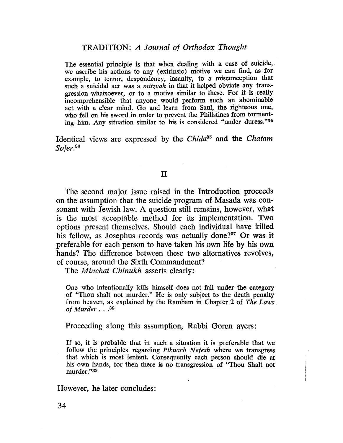The essential principle is that when dealing with a case of suicide, we aseribe his actions to any (extrinsic) motive we can find, as for example, to terror, despondency, insanity, to a misconception that such a suicidal act was a *mitzvah* in that it helped obviate any transgression whatsoever, or to a motive similar to these. For it is really incomprehensible that anyone would perform such an abominable act with a clear mind. Go and learn from Saul, the righteous one, who fell on his sword in order to prevent the Philistines from tormenting him. Any situation similar to his is considered "under duress."<sup>34</sup>

Identical views are expressed by the Chida<sup>35</sup> and the Chatam Sofer.<sup>36</sup>

#### II

The second major issue raised in the Introduction proceeds on the assumption that the suicide program of Masada was consonant with Jewish law. A question still remains, however, what is the most acceptable method for its implementation. Two options present themselves. Should each individual have kiled his fellow, as Josephus records was actually done?<sup>37</sup> Or was it preferable for each person to have taken his own life by his own hands? The difference between these two alternatives revolves, of course, around the Sixth Commandment?

The *Minchat Chinukh* asserts clearly:

One who intentionally kils himself does not fall under the category of "Thou shalt not murder." He is only subject to the death penalty from heaven, as explained by the Rambam in Chapter 2 of The Laws of Murder...<sup>38</sup>

Proceeding along this assumption, Rabbi Goren avers:

If so, it is probable that in such a situation it is preferable that we follow the principles regarding *Pikuach Nefesh* where we transgress that which is most lenient. Consequently each person should die at his own hands, for then there is no transgression of "Thou Shalt not murder."s9

However, he later concludes:

34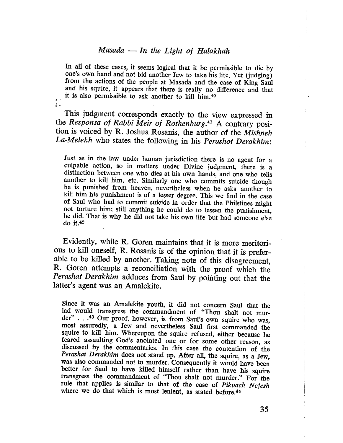#### $Masada$  - In the Light of Halakhah

In all of these cases, it seems logical that it be permissible to die by one's own hand and not bid another Jew to take his life. Yet (judging) from the actions of the people at Masada and the case of King Saul and his squire, it appears that there is really no difference and that it is also permissible to ask another to kill him.<sup>40</sup>

 $\int_{\mathbb{R}^{2}}$  .

This judgment corresponds exactly to the view expressed in the Responsa of Rabbi Meir of Rothenburg.<sup>41</sup> A contrary position is voiced by R. Joshua Rosanis, the author of the Mishneh La-Melekh who states the following in his Perashot Derakhim:

Just as in the law under human jurisdiction there is no agent for a culpable action, so in matters under Divine judgment, there is a distinction between one who dies at his own hands, and one who tells another to kill him, etc. Similarly one who commits suicide though he is punished from heaven, nevertheless when he asks another to kill him his punishment is of a lesser degree. This we find in the case of Saul who had to commit suicide in order that the Philstines might not torture him; still anything he could do to lessen the punishment, he did. That is why he did not take his own life but had someone else do it.42

Evidently, while R. Goren maintains that it is more meritorious to kill oneself, R. Rosanis is of the opinion that it is preferable to be kiled by another. Taking note of this disagreement, R. Goren attempts a reconciliation with the proof which the Perashat Derakhim adduces from Saul by pointing out that the latter's agent was an Amalekite.

Since it was an Amalekite youth, it did not concern Saul that the lad would transgress the commandment of "Thou shalt not murder" . . .43 Our proof, however, is from Saul's own squire who was, most assuredly, a Jew and nevertheless Saul first commanded the squire to kill him. Whereupon the squire refused, either because he feared assaulting God's anointed one or for some other reason, as discussed by the commentaries. In this case the contention of the Perashat Derakhim does not stand up. After all, the squire, as a Jew, was also eommanded not to murder. Consequently it would have been better for Saul to have kiled himself rather than have his squire transgress the commandment of "Thou shalt not murder." For the rule that applies is similar to that of the case of Pikuach Nefesh where we do that which is most lenient, as stated before.<sup>44</sup>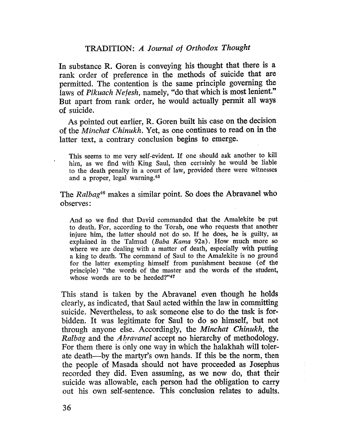In substance R. Goren is conveying his thought that there is a rank order of preference in the methods of suicide that are permitted. The contention is the same principle governing the laws of Pikuach Nefesh, namely, "do that which is most lenient." But apart from rank order, he would actually permit all ways of suicide.

As pointed out earlier, R. Goren built his case on the decision of the Minchat Chinukh. Yet, as one continues to read on in the latter text, a contrary conclusion begins to emerge.

This seems to me very self-evident. If one should ask another to kill him, as we find with King Saul, then certainly he would be liable to the death penalty in a court of law, provided there were witnesses and a proper, legal warning.45

The Ralbag<sup>46</sup> makes a similar point. So does the Abrayanel who observes:

And so we find that David commanded that the Amalekite be put to death. For, according to the Torah, one who requests that another injure him, the latter should not do so. If he does, he is guilty, as explained in the Talmud (Baba Kama 92a). How much more so where we are dealing with a matter of death, especially with putting a king to death. The command of Saul to the Amalekite is no ground for the latter exempting himself from punishment because (of the principle) "the words of the master and the words of the student, whose words are to be heeded?"47

This stand is taken by the Abravanel even though he holds clearly, as indicated, that Saul acted within the law in committing suicide. Nevertheless, to ask someone else to do the task is forbidden. It was legitimate for Saul to do so himself, but not through anyone else. Accordingly, the Minchat Chinukh, the Ralbag and the *Abravanel* accept no hierarchy of methodology. For them there is only one way in which the halakhah will tolerate death-by the martyr's own hands. If this be the norm, then the people of Masada should not have proceeded as Josephus recorded they did. Even assuming, as we now do, that their suicide was allowable, each person had the obligation to carry out his own self-sentence. This conclusion relates to adults.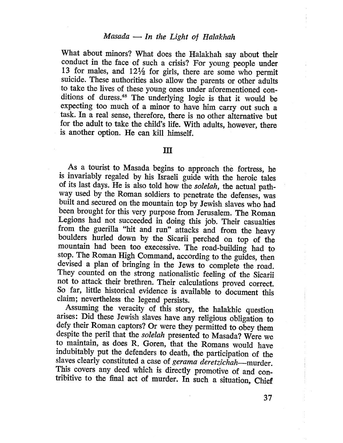# $Masada$  - In the Light of Halakhah

What about minors? What does the Halakhah say about their conduct in the face of such a crisis? For young people under 13 for males, and  $12\frac{1}{2}$  for girls, there are some who permit suicide. These authorities also allow the parents or other adults to take the lives of these young ones under aforementioned conditions of duress.48 The underlying logic is that it would be expecting too much of a minor to have him carry out such a task. In a real sense, therefore, there is no other alternative but for the adult to take the child's life. With adults, however, there is another option. He can kill himself.

#### II

As a tourist to Masada begins to approach the fortress, he is invariably regaled by his Israeli guide with the heroic tales of its last days. He is also told how the solelah, the actual pathway used by the Roman soldiers to penetrate the defenses, was built and secured on the mountain top by Jewish slaves who had been brought for this very purpose from Jerusalem. The Roman Legions had not succeeded in doing this job. Their casualties from the guerila "hit and run" attacks and from the heavy boulders hurled down by the Sicarii perched on top of the mountain had been too execessive. The road-building had to stop. The Roman High Command, according to the guides, then devised a plan of bringing in the Jews to complete the road. They counted on the strong nationalistic feeling of the Sicarii not to attack their brethren. Their calculations proved correct. So far, little historical evidence is available to document this claim; nevertheless the legend persists.

Assuming the veracity of this story, the halakhic question arises: Did these Jewish slaves have any religious obligation to defy their Roman captors? Or were they permitted to obey them despite the peril that the solelah presented to Masada? Were we to maintain, as does R. Goren, that the Romans would have indubitably put the defenders to death, the participation of the slaves clearly constituted a case of gerama deretzichah-murder. This covers any deed which is directly promotive of and contribitive to the fial act of murder. In such a situation, Chief